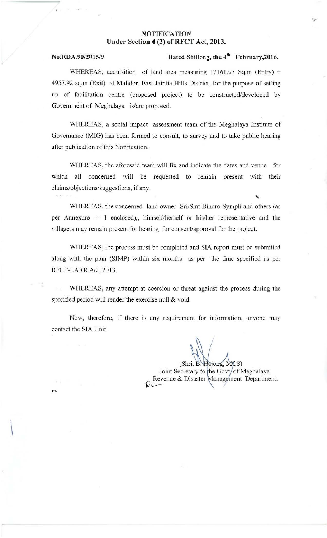### NOTIFICATION Under Section 4 (2) of RFCT Act, 2013.

 $\vert$ 

## No.RDA.90/2015/9 Dated Shillong, the 4'" February,2016.

"

WHEREAS, acquisition of land area measuring 17161.97 Sq.m (Entry) + 4957.92 sq.m (Exit) at Malidor, East Jaintia Hills District, for the purpose of setting up of facilitation centre (proposed project) to be constructed/developed by Government of Meghalaya is/are proposed.

WHEREAS, a social impact assessment team of the Meghalaya Institute of Governance (MIG) has been formed to consult, to survey and to take public hearing after publication of this Notification.

WHEREAS, the aforesaid team will fix and indicate the dates and venue for which all concerned will be requested to remain present with their claims/objections/suggestions, if any.

WHEREAS, the concerned land owner Sri/Smt Bindro Sympli and others (as per Annexure - I enclosed),, himself/herself or his/her representative and the villagers may remain present for hearing for consent/approval for the project.

WHEREAS, the process must be completed and SIA report must be submitted along with the plan (SIMP) within six months as per the time specified as per RFCT-LARR Act, 2013.

WHEREAS, any attempt at coercion or threat against the process during the specified period will render the exercise null  $&$  void.

Now, therefore, if there is any requirement for information, anyone may contact the SIA Unit.

(Shri. B. Hajong, MCS)

Joint Secretary to the Govt/of Meghalaya Revenue & Disaster Management Department.